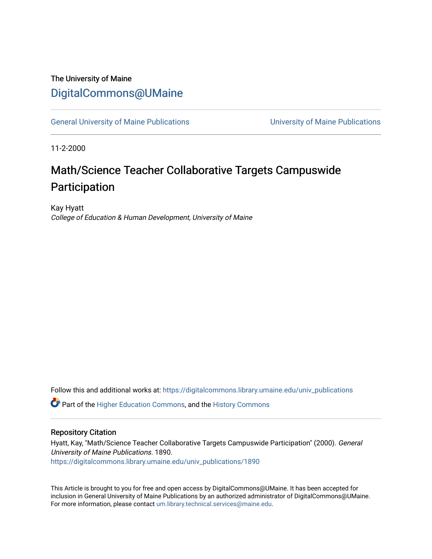### The University of Maine [DigitalCommons@UMaine](https://digitalcommons.library.umaine.edu/)

[General University of Maine Publications](https://digitalcommons.library.umaine.edu/univ_publications) [University of Maine Publications](https://digitalcommons.library.umaine.edu/umaine_publications) 

11-2-2000

# Math/Science Teacher Collaborative Targets Campuswide Participation

Kay Hyatt College of Education & Human Development, University of Maine

Follow this and additional works at: [https://digitalcommons.library.umaine.edu/univ\\_publications](https://digitalcommons.library.umaine.edu/univ_publications?utm_source=digitalcommons.library.umaine.edu%2Funiv_publications%2F1890&utm_medium=PDF&utm_campaign=PDFCoverPages) 

**C** Part of the [Higher Education Commons,](http://network.bepress.com/hgg/discipline/1245?utm_source=digitalcommons.library.umaine.edu%2Funiv_publications%2F1890&utm_medium=PDF&utm_campaign=PDFCoverPages) and the [History Commons](http://network.bepress.com/hgg/discipline/489?utm_source=digitalcommons.library.umaine.edu%2Funiv_publications%2F1890&utm_medium=PDF&utm_campaign=PDFCoverPages)

#### Repository Citation

Hyatt, Kay, "Math/Science Teacher Collaborative Targets Campuswide Participation" (2000). General University of Maine Publications. 1890. [https://digitalcommons.library.umaine.edu/univ\\_publications/1890](https://digitalcommons.library.umaine.edu/univ_publications/1890?utm_source=digitalcommons.library.umaine.edu%2Funiv_publications%2F1890&utm_medium=PDF&utm_campaign=PDFCoverPages)

This Article is brought to you for free and open access by DigitalCommons@UMaine. It has been accepted for inclusion in General University of Maine Publications by an authorized administrator of DigitalCommons@UMaine. For more information, please contact [um.library.technical.services@maine.edu](mailto:um.library.technical.services@maine.edu).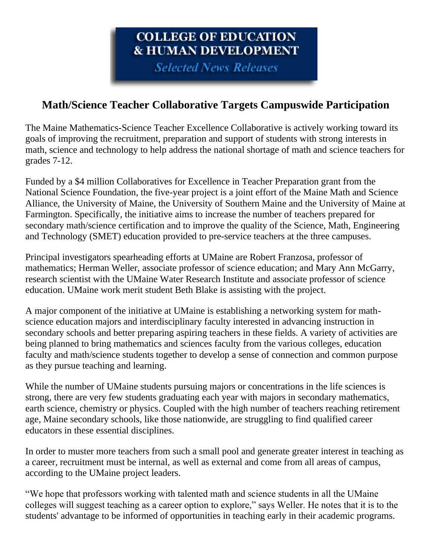# COLLEGE OF EDUCATION **& HUMAN DEVELOPMENT**

**Selected News Releases** 

## **Math/Science Teacher Collaborative Targets Campuswide Participation**

The Maine Mathematics-Science Teacher Excellence Collaborative is actively working toward its goals of improving the recruitment, preparation and support of students with strong interests in math, science and technology to help address the national shortage of math and science teachers for grades 7-12.

Funded by a \$4 million Collaboratives for Excellence in Teacher Preparation grant from the National Science Foundation, the five-year project is a joint effort of the Maine Math and Science Alliance, the University of Maine, the University of Southern Maine and the University of Maine at Farmington. Specifically, the initiative aims to increase the number of teachers prepared for secondary math/science certification and to improve the quality of the Science, Math, Engineering and Technology (SMET) education provided to pre-service teachers at the three campuses.

Principal investigators spearheading efforts at UMaine are Robert Franzosa, professor of mathematics; Herman Weller, associate professor of science education; and Mary Ann McGarry, research scientist with the UMaine Water Research Institute and associate professor of science education. UMaine work merit student Beth Blake is assisting with the project.

A major component of the initiative at UMaine is establishing a networking system for mathscience education majors and interdisciplinary faculty interested in advancing instruction in secondary schools and better preparing aspiring teachers in these fields. A variety of activities are being planned to bring mathematics and sciences faculty from the various colleges, education faculty and math/science students together to develop a sense of connection and common purpose as they pursue teaching and learning.

While the number of UMaine students pursuing majors or concentrations in the life sciences is strong, there are very few students graduating each year with majors in secondary mathematics, earth science, chemistry or physics. Coupled with the high number of teachers reaching retirement age, Maine secondary schools, like those nationwide, are struggling to find qualified career educators in these essential disciplines.

In order to muster more teachers from such a small pool and generate greater interest in teaching as a career, recruitment must be internal, as well as external and come from all areas of campus, according to the UMaine project leaders.

"We hope that professors working with talented math and science students in all the UMaine colleges will suggest teaching as a career option to explore," says Weller. He notes that it is to the students' advantage to be informed of opportunities in teaching early in their academic programs.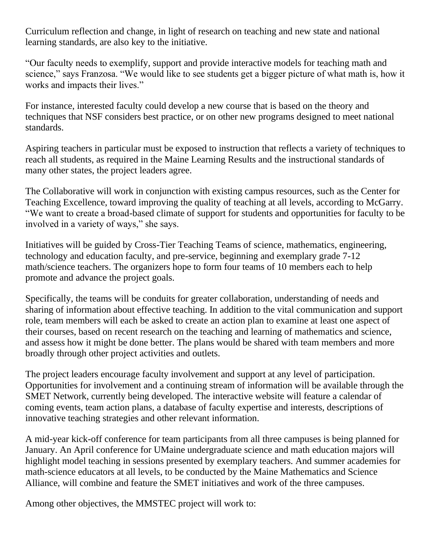Curriculum reflection and change, in light of research on teaching and new state and national learning standards, are also key to the initiative.

"Our faculty needs to exemplify, support and provide interactive models for teaching math and science," says Franzosa. "We would like to see students get a bigger picture of what math is, how it works and impacts their lives."

For instance, interested faculty could develop a new course that is based on the theory and techniques that NSF considers best practice, or on other new programs designed to meet national standards.

Aspiring teachers in particular must be exposed to instruction that reflects a variety of techniques to reach all students, as required in the Maine Learning Results and the instructional standards of many other states, the project leaders agree.

The Collaborative will work in conjunction with existing campus resources, such as the Center for Teaching Excellence, toward improving the quality of teaching at all levels, according to McGarry. "We want to create a broad-based climate of support for students and opportunities for faculty to be involved in a variety of ways," she says.

Initiatives will be guided by Cross-Tier Teaching Teams of science, mathematics, engineering, technology and education faculty, and pre-service, beginning and exemplary grade 7-12 math/science teachers. The organizers hope to form four teams of 10 members each to help promote and advance the project goals.

Specifically, the teams will be conduits for greater collaboration, understanding of needs and sharing of information about effective teaching. In addition to the vital communication and support role, team members will each be asked to create an action plan to examine at least one aspect of their courses, based on recent research on the teaching and learning of mathematics and science, and assess how it might be done better. The plans would be shared with team members and more broadly through other project activities and outlets.

The project leaders encourage faculty involvement and support at any level of participation. Opportunities for involvement and a continuing stream of information will be available through the SMET Network, currently being developed. The interactive website will feature a calendar of coming events, team action plans, a database of faculty expertise and interests, descriptions of innovative teaching strategies and other relevant information.

A mid-year kick-off conference for team participants from all three campuses is being planned for January. An April conference for UMaine undergraduate science and math education majors will highlight model teaching in sessions presented by exemplary teachers. And summer academies for math-science educators at all levels, to be conducted by the Maine Mathematics and Science Alliance, will combine and feature the SMET initiatives and work of the three campuses.

Among other objectives, the MMSTEC project will work to: